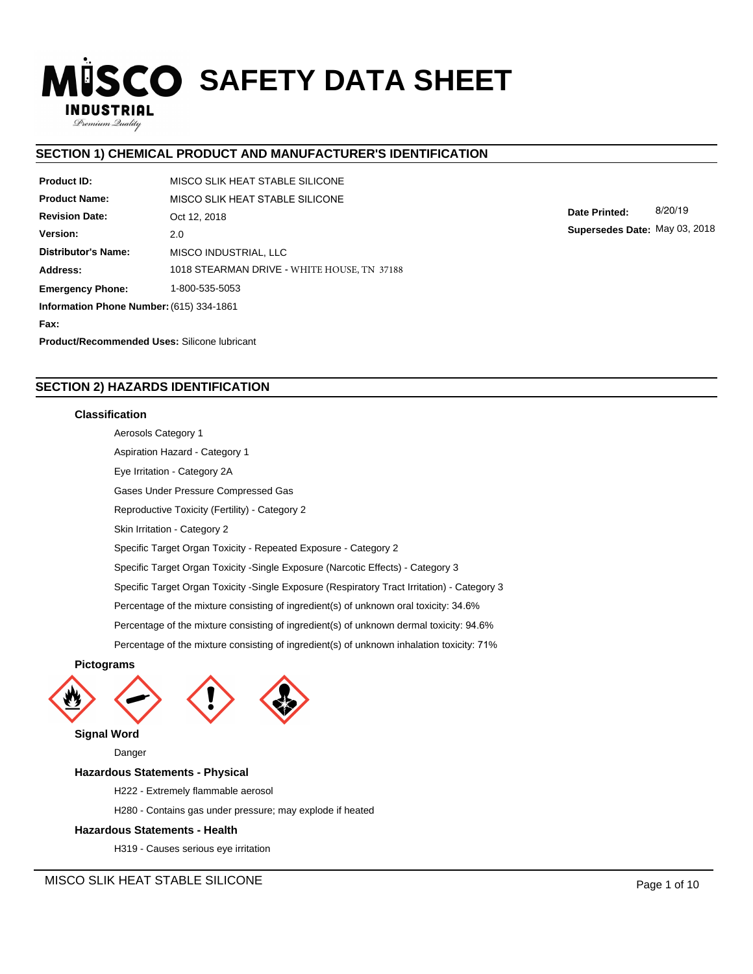# **ISCO SAFETY DATA SHEET INDUSTRIAL**

# **SECTION 1) CHEMICAL PRODUCT AND MANUFACTURER'S IDENTIFICATION**

| Product ID:                                         | MISCO SLIK HEAT STABLE SILICONE             |  |  |  |  |
|-----------------------------------------------------|---------------------------------------------|--|--|--|--|
| <b>Product Name:</b>                                | MISCO SLIK HEAT STABLE SILICONE             |  |  |  |  |
| <b>Revision Date:</b>                               | Oct 12, 2018                                |  |  |  |  |
| Version:                                            | 2.0                                         |  |  |  |  |
| <b>Distributor's Name:</b>                          | MISCO INDUSTRIAL, LLC                       |  |  |  |  |
| Address:                                            | 1018 STEARMAN DRIVE - WHITE HOUSE, TN 37188 |  |  |  |  |
| <b>Emergency Phone:</b>                             | 1-800-535-5053                              |  |  |  |  |
| Information Phone Number: (615) 334-1861            |                                             |  |  |  |  |
| Fax:                                                |                                             |  |  |  |  |
| <b>Product/Recommended Uses: Silicone Jubricant</b> |                                             |  |  |  |  |

**Date Printed:** 8/20/19 **Supersedes Date:** May 03, 2018

# **SECTION 2) HAZARDS IDENTIFICATION**

#### **Classification**

Premium Quality

Aerosols Category 1 Aspiration Hazard - Category 1 Eye Irritation - Category 2A Gases Under Pressure Compressed Gas Reproductive Toxicity (Fertility) - Category 2 Skin Irritation - Category 2 Specific Target Organ Toxicity - Repeated Exposure - Category 2 Specific Target Organ Toxicity -Single Exposure (Narcotic Effects) - Category 3 Specific Target Organ Toxicity -Single Exposure (Respiratory Tract Irritation) - Category 3 Percentage of the mixture consisting of ingredient(s) of unknown oral toxicity: 34.6% Percentage of the mixture consisting of ingredient(s) of unknown dermal toxicity: 94.6% Percentage of the mixture consisting of ingredient(s) of unknown inhalation toxicity: 71%

#### **Pictograms**





**Signal Word**

Danger

#### **Hazardous Statements - Physical**

H222 - Extremely flammable aerosol

H280 - Contains gas under pressure; may explode if heated

#### **Hazardous Statements - Health**

H319 - Causes serious eye irritation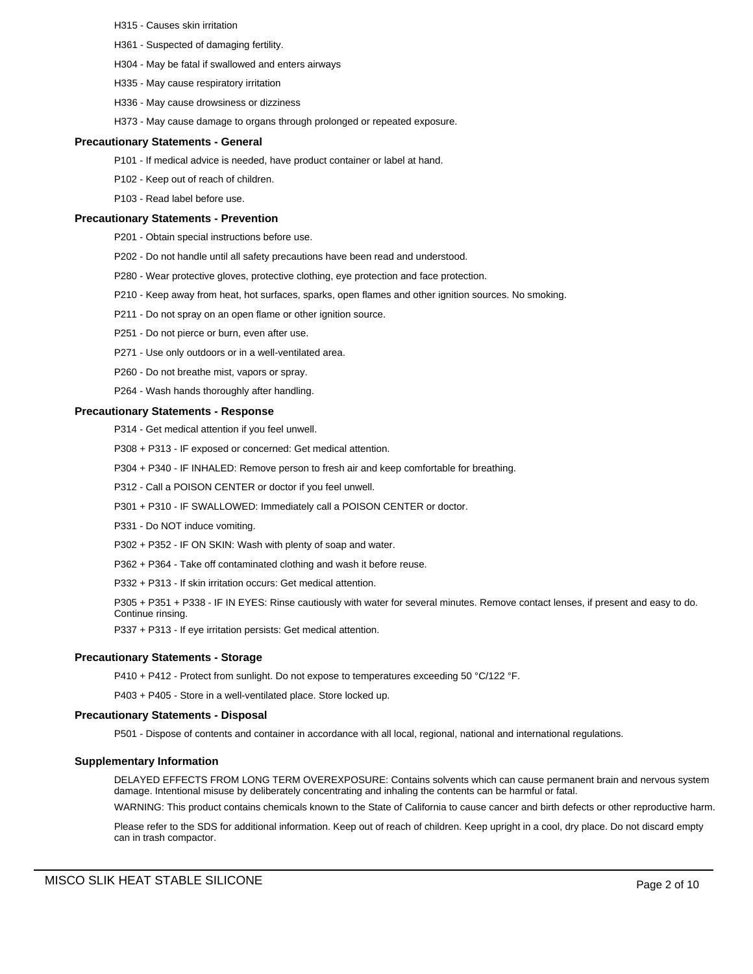- H315 Causes skin irritation
- H361 Suspected of damaging fertility.
- H304 May be fatal if swallowed and enters airways
- H335 May cause respiratory irritation
- H336 May cause drowsiness or dizziness
- H373 May cause damage to organs through prolonged or repeated exposure.

#### **Precautionary Statements - General**

- P101 If medical advice is needed, have product container or label at hand.
- P102 Keep out of reach of children.
- P103 Read label before use.

#### **Precautionary Statements - Prevention**

- P201 Obtain special instructions before use.
- P202 Do not handle until all safety precautions have been read and understood.
- P280 Wear protective gloves, protective clothing, eye protection and face protection.
- P210 Keep away from heat, hot surfaces, sparks, open flames and other ignition sources. No smoking.
- P211 Do not spray on an open flame or other ignition source.
- P251 Do not pierce or burn, even after use.
- P271 Use only outdoors or in a well-ventilated area.
- P260 Do not breathe mist, vapors or spray.
- P264 Wash hands thoroughly after handling.

#### **Precautionary Statements - Response**

- P314 Get medical attention if you feel unwell.
- P308 + P313 IF exposed or concerned: Get medical attention.
- P304 + P340 IF INHALED: Remove person to fresh air and keep comfortable for breathing.
- P312 Call a POISON CENTER or doctor if you feel unwell.
- P301 + P310 IF SWALLOWED: Immediately call a POISON CENTER or doctor.
- P331 Do NOT induce vomiting.
- P302 + P352 IF ON SKIN: Wash with plenty of soap and water.
- P362 + P364 Take off contaminated clothing and wash it before reuse.
- P332 + P313 If skin irritation occurs: Get medical attention.

P305 + P351 + P338 - IF IN EYES: Rinse cautiously with water for several minutes. Remove contact lenses, if present and easy to do. Continue rinsing.

P337 + P313 - If eye irritation persists: Get medical attention.

#### **Precautionary Statements - Storage**

P410 + P412 - Protect from sunlight. Do not expose to temperatures exceeding 50 °C/122 °F.

P403 + P405 - Store in a well-ventilated place. Store locked up.

#### **Precautionary Statements - Disposal**

P501 - Dispose of contents and container in accordance with all local, regional, national and international regulations.

#### **Supplementary Information**

DELAYED EFFECTS FROM LONG TERM OVEREXPOSURE: Contains solvents which can cause permanent brain and nervous system damage. Intentional misuse by deliberately concentrating and inhaling the contents can be harmful or fatal.

WARNING: This product contains chemicals known to the State of California to cause cancer and birth defects or other reproductive harm.

Please refer to the SDS for additional information. Keep out of reach of children. Keep upright in a cool, dry place. Do not discard empty can in trash compactor.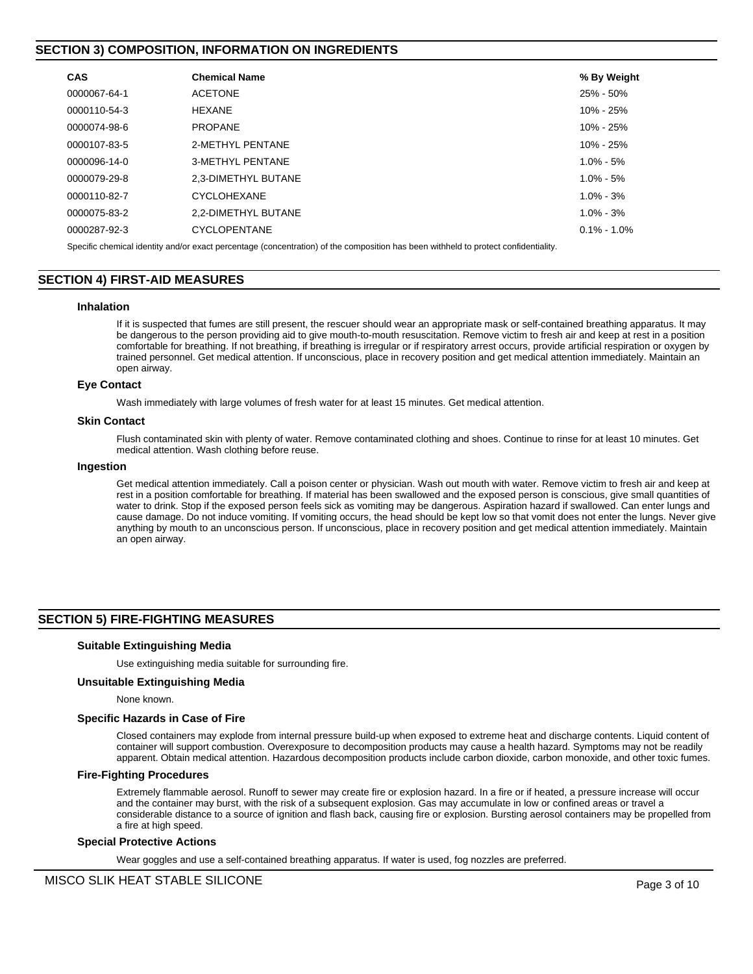# **SECTION 3) COMPOSITION, INFORMATION ON INGREDIENTS**

| <b>CAS</b>   | <b>Chemical Name</b> | % By Weight     |
|--------------|----------------------|-----------------|
| 0000067-64-1 | <b>ACETONE</b>       | 25% - 50%       |
| 0000110-54-3 | <b>HEXANE</b>        | 10% - 25%       |
| 0000074-98-6 | <b>PROPANE</b>       | $10\% - 25\%$   |
| 0000107-83-5 | 2-METHYL PENTANE     | $10\% - 25\%$   |
| 0000096-14-0 | 3-METHYL PENTANE     | $1.0\% - 5\%$   |
| 0000079-29-8 | 2.3-DIMETHYL BUTANE  | $1.0\% - 5\%$   |
| 0000110-82-7 | <b>CYCLOHEXANE</b>   | $1.0\% - 3\%$   |
| 0000075-83-2 | 2.2-DIMETHYL BUTANE  | $1.0\% - 3\%$   |
| 0000287-92-3 | <b>CYCLOPENTANE</b>  | $0.1\% - 1.0\%$ |
|              |                      |                 |

Specific chemical identity and/or exact percentage (concentration) of the composition has been withheld to protect confidentiality.

# **SECTION 4) FIRST-AID MEASURES**

#### **Inhalation**

If it is suspected that fumes are still present, the rescuer should wear an appropriate mask or self-contained breathing apparatus. It may be dangerous to the person providing aid to give mouth-to-mouth resuscitation. Remove victim to fresh air and keep at rest in a position comfortable for breathing. If not breathing, if breathing is irregular or if respiratory arrest occurs, provide artificial respiration or oxygen by trained personnel. Get medical attention. If unconscious, place in recovery position and get medical attention immediately. Maintain an open airway.

#### **Eye Contact**

Wash immediately with large volumes of fresh water for at least 15 minutes. Get medical attention.

#### **Skin Contact**

Flush contaminated skin with plenty of water. Remove contaminated clothing and shoes. Continue to rinse for at least 10 minutes. Get medical attention. Wash clothing before reuse.

#### **Ingestion**

Get medical attention immediately. Call a poison center or physician. Wash out mouth with water. Remove victim to fresh air and keep at rest in a position comfortable for breathing. If material has been swallowed and the exposed person is conscious, give small quantities of water to drink. Stop if the exposed person feels sick as vomiting may be dangerous. Aspiration hazard if swallowed. Can enter lungs and cause damage. Do not induce vomiting. If vomiting occurs, the head should be kept low so that vomit does not enter the lungs. Never give anything by mouth to an unconscious person. If unconscious, place in recovery position and get medical attention immediately. Maintain an open airway.

# **SECTION 5) FIRE-FIGHTING MEASURES**

#### **Suitable Extinguishing Media**

Use extinguishing media suitable for surrounding fire.

#### **Unsuitable Extinguishing Media**

None known.

#### **Specific Hazards in Case of Fire**

Closed containers may explode from internal pressure build-up when exposed to extreme heat and discharge contents. Liquid content of container will support combustion. Overexposure to decomposition products may cause a health hazard. Symptoms may not be readily apparent. Obtain medical attention. Hazardous decomposition products include carbon dioxide, carbon monoxide, and other toxic fumes.

#### **Fire-Fighting Procedures**

Extremely flammable aerosol. Runoff to sewer may create fire or explosion hazard. In a fire or if heated, a pressure increase will occur and the container may burst, with the risk of a subsequent explosion. Gas may accumulate in low or confined areas or travel a considerable distance to a source of ignition and flash back, causing fire or explosion. Bursting aerosol containers may be propelled from a fire at high speed.

#### **Special Protective Actions**

Wear goggles and use a self-contained breathing apparatus. If water is used, fog nozzles are preferred.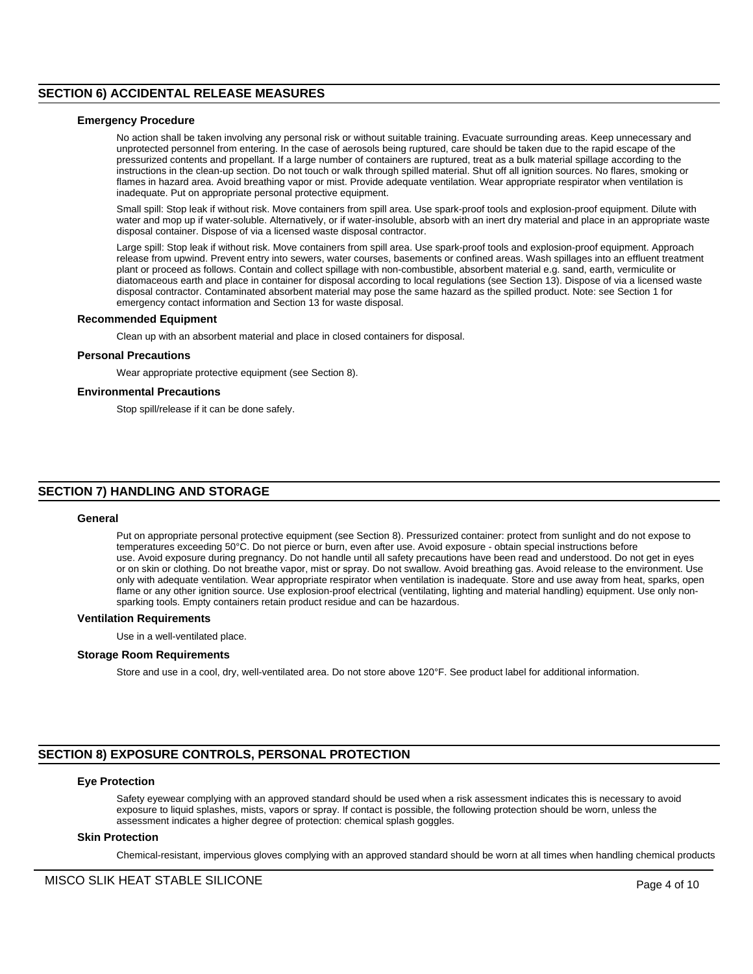# **SECTION 6) ACCIDENTAL RELEASE MEASURES**

#### **Emergency Procedure**

No action shall be taken involving any personal risk or without suitable training. Evacuate surrounding areas. Keep unnecessary and unprotected personnel from entering. In the case of aerosols being ruptured, care should be taken due to the rapid escape of the pressurized contents and propellant. If a large number of containers are ruptured, treat as a bulk material spillage according to the instructions in the clean-up section. Do not touch or walk through spilled material. Shut off all ignition sources. No flares, smoking or flames in hazard area. Avoid breathing vapor or mist. Provide adequate ventilation. Wear appropriate respirator when ventilation is inadequate. Put on appropriate personal protective equipment.

Small spill: Stop leak if without risk. Move containers from spill area. Use spark-proof tools and explosion-proof equipment. Dilute with water and mop up if water-soluble. Alternatively, or if water-insoluble, absorb with an inert dry material and place in an appropriate waste disposal container. Dispose of via a licensed waste disposal contractor.

Large spill: Stop leak if without risk. Move containers from spill area. Use spark-proof tools and explosion-proof equipment. Approach release from upwind. Prevent entry into sewers, water courses, basements or confined areas. Wash spillages into an effluent treatment plant or proceed as follows. Contain and collect spillage with non-combustible, absorbent material e.g. sand, earth, vermiculite or diatomaceous earth and place in container for disposal according to local regulations (see Section 13). Dispose of via a licensed waste disposal contractor. Contaminated absorbent material may pose the same hazard as the spilled product. Note: see Section 1 for emergency contact information and Section 13 for waste disposal.

# **Recommended Equipment**

Clean up with an absorbent material and place in closed containers for disposal.

#### **Personal Precautions**

Wear appropriate protective equipment (see Section 8).

#### **Environmental Precautions**

Stop spill/release if it can be done safely.

#### **SECTION 7) HANDLING AND STORAGE**

#### **General**

Put on appropriate personal protective equipment (see Section 8). Pressurized container: protect from sunlight and do not expose to temperatures exceeding 50°C. Do not pierce or burn, even after use. Avoid exposure - obtain special instructions before use. Avoid exposure during pregnancy. Do not handle until all safety precautions have been read and understood. Do not get in eyes or on skin or clothing. Do not breathe vapor, mist or spray. Do not swallow. Avoid breathing gas. Avoid release to the environment. Use only with adequate ventilation. Wear appropriate respirator when ventilation is inadequate. Store and use away from heat, sparks, open flame or any other ignition source. Use explosion-proof electrical (ventilating, lighting and material handling) equipment. Use only nonsparking tools. Empty containers retain product residue and can be hazardous.

#### **Ventilation Requirements**

Use in a well-ventilated place.

#### **Storage Room Requirements**

Store and use in a cool, dry, well-ventilated area. Do not store above 120°F. See product label for additional information.

# **SECTION 8) EXPOSURE CONTROLS, PERSONAL PROTECTION**

#### **Eye Protection**

Safety eyewear complying with an approved standard should be used when a risk assessment indicates this is necessary to avoid exposure to liquid splashes, mists, vapors or spray. If contact is possible, the following protection should be worn, unless the assessment indicates a higher degree of protection: chemical splash goggles.

#### **Skin Protection**

Chemical-resistant, impervious gloves complying with an approved standard should be worn at all times when handling chemical products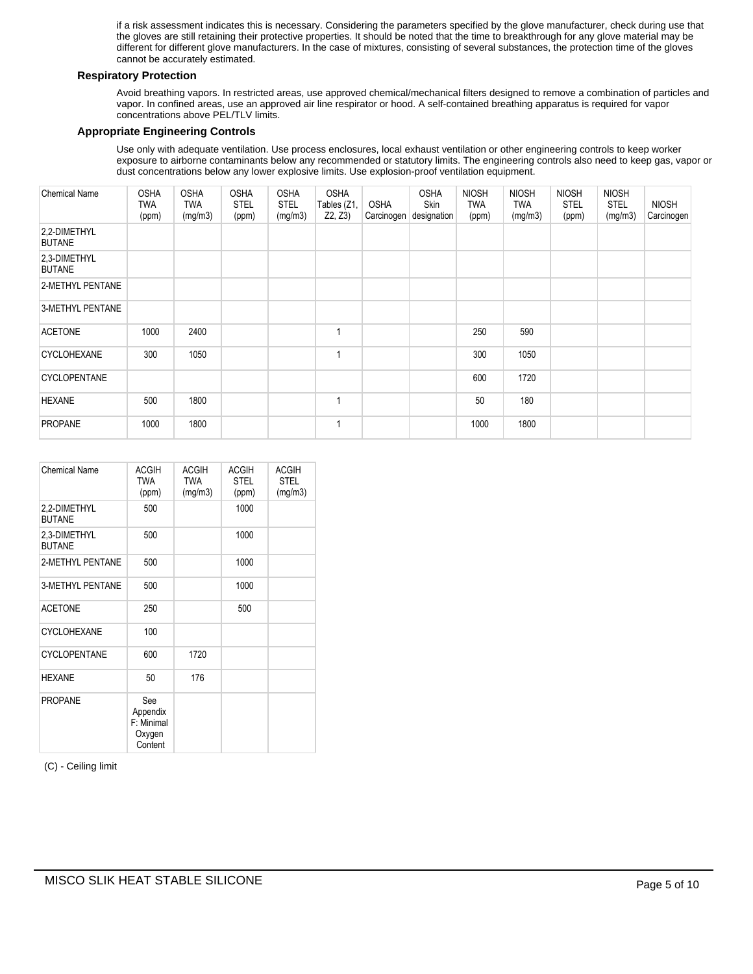if a risk assessment indicates this is necessary. Considering the parameters specified by the glove manufacturer, check during use that the gloves are still retaining their protective properties. It should be noted that the time to breakthrough for any glove material may be different for different glove manufacturers. In the case of mixtures, consisting of several substances, the protection time of the gloves cannot be accurately estimated.

# **Respiratory Protection**

Avoid breathing vapors. In restricted areas, use approved chemical/mechanical filters designed to remove a combination of particles and vapor. In confined areas, use an approved air line respirator or hood. A self-contained breathing apparatus is required for vapor concentrations above PEL/TLV limits.

#### **Appropriate Engineering Controls**

Use only with adequate ventilation. Use process enclosures, local exhaust ventilation or other engineering controls to keep worker exposure to airborne contaminants below any recommended or statutory limits. The engineering controls also need to keep gas, vapor or dust concentrations below any lower explosive limits. Use explosion-proof ventilation equipment.

| <b>Chemical Name</b>          | <b>OSHA</b><br>TWA<br>(ppm) | <b>OSHA</b><br><b>TWA</b><br>(mg/m3) | <b>OSHA</b><br><b>STEL</b><br>(ppm) | <b>OSHA</b><br><b>STEL</b><br>(mg/m3) | <b>OSHA</b><br>Tables (Z1,<br>Z2, Z3 | <b>OSHA</b><br>Carcinogen | <b>OSHA</b><br>Skin<br>designation | <b>NIOSH</b><br><b>TWA</b><br>(ppm) | <b>NIOSH</b><br>TWA<br>(mg/m3) | <b>NIOSH</b><br><b>STEL</b><br>(ppm) | <b>NIOSH</b><br><b>STEL</b><br>(mg/m3) | <b>NIOSH</b><br>Carcinogen |
|-------------------------------|-----------------------------|--------------------------------------|-------------------------------------|---------------------------------------|--------------------------------------|---------------------------|------------------------------------|-------------------------------------|--------------------------------|--------------------------------------|----------------------------------------|----------------------------|
| 2,2-DIMETHYL<br><b>BUTANE</b> |                             |                                      |                                     |                                       |                                      |                           |                                    |                                     |                                |                                      |                                        |                            |
| 2,3-DIMETHYL<br><b>BUTANE</b> |                             |                                      |                                     |                                       |                                      |                           |                                    |                                     |                                |                                      |                                        |                            |
| 2-METHYL PENTANE              |                             |                                      |                                     |                                       |                                      |                           |                                    |                                     |                                |                                      |                                        |                            |
| 3-METHYL PENTANE              |                             |                                      |                                     |                                       |                                      |                           |                                    |                                     |                                |                                      |                                        |                            |
| <b>ACETONE</b>                | 1000                        | 2400                                 |                                     |                                       |                                      |                           |                                    | 250                                 | 590                            |                                      |                                        |                            |
| <b>CYCLOHEXANE</b>            | 300                         | 1050                                 |                                     |                                       |                                      |                           |                                    | 300                                 | 1050                           |                                      |                                        |                            |
| <b>CYCLOPENTANE</b>           |                             |                                      |                                     |                                       |                                      |                           |                                    | 600                                 | 1720                           |                                      |                                        |                            |
| <b>HEXANE</b>                 | 500                         | 1800                                 |                                     |                                       |                                      |                           |                                    | 50                                  | 180                            |                                      |                                        |                            |
| <b>PROPANE</b>                | 1000                        | 1800                                 |                                     |                                       |                                      |                           |                                    | 1000                                | 1800                           |                                      |                                        |                            |

| <b>Chemical Name</b>          | <b>ACGIH</b><br>TWA<br>(ppm)                       | <b>ACGIH</b><br><b>TWA</b><br>(mg/m3) | ACGIH<br><b>STEL</b><br>(ppm) | <b>ACGIH</b><br><b>STEL</b><br>(mg/m3) |
|-------------------------------|----------------------------------------------------|---------------------------------------|-------------------------------|----------------------------------------|
| 2,2-DIMETHYL<br><b>BUTANE</b> | 500                                                |                                       | 1000                          |                                        |
| 2,3-DIMETHYL<br><b>BUTANE</b> | 500                                                |                                       | 1000                          |                                        |
| 2-METHYL PENTANE              | 500                                                |                                       | 1000                          |                                        |
| <b>3-METHYL PENTANE</b>       | 500                                                |                                       | 1000                          |                                        |
| <b>ACETONE</b>                | 250                                                |                                       | 500                           |                                        |
| <b>CYCLOHEXANE</b>            | 100                                                |                                       |                               |                                        |
| CYCLOPENTANE                  | 600                                                | 1720                                  |                               |                                        |
| <b>HEXANE</b>                 | 50                                                 | 176                                   |                               |                                        |
| <b>PROPANE</b>                | See<br>Appendix<br>F: Minimal<br>Oxygen<br>Content |                                       |                               |                                        |

(C) - Ceiling limit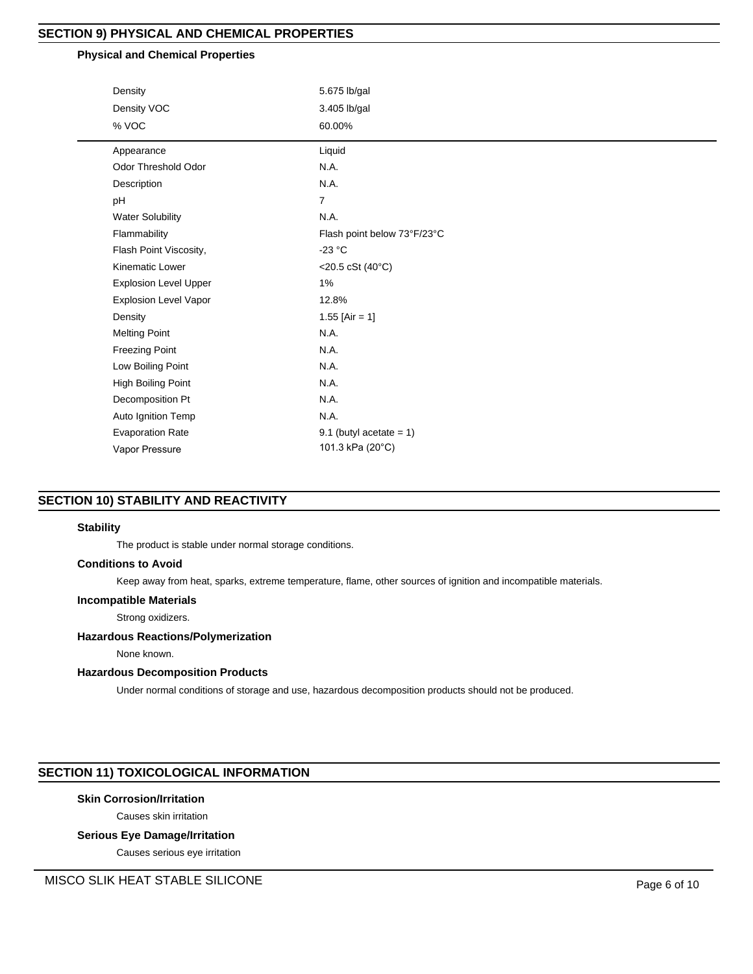# **SECTION 9) PHYSICAL AND CHEMICAL PROPERTIES**

# **Physical and Chemical Properties**

| Density                      | 5.675 lb/gal                |  |  |  |
|------------------------------|-----------------------------|--|--|--|
| Density VOC                  | 3.405 lb/gal                |  |  |  |
| % VOC                        | 60.00%                      |  |  |  |
| Appearance                   | Liquid                      |  |  |  |
| Odor Threshold Odor          | N.A.                        |  |  |  |
| Description                  | N.A.                        |  |  |  |
| pH                           | $\overline{7}$              |  |  |  |
| <b>Water Solubility</b>      | N.A.                        |  |  |  |
| Flammability                 | Flash point below 73°F/23°C |  |  |  |
| Flash Point Viscosity,       | $-23 °C$                    |  |  |  |
| Kinematic Lower              | <20.5 cSt (40°C)            |  |  |  |
| <b>Explosion Level Upper</b> | 1%                          |  |  |  |
| <b>Explosion Level Vapor</b> | 12.8%                       |  |  |  |
| Density                      | 1.55 [Air = 1]              |  |  |  |
| <b>Melting Point</b>         | N.A.                        |  |  |  |
| <b>Freezing Point</b>        | N.A.                        |  |  |  |
| Low Boiling Point            | N.A.                        |  |  |  |
| <b>High Boiling Point</b>    | N.A.                        |  |  |  |
| Decomposition Pt             | N.A.                        |  |  |  |
| Auto Ignition Temp           | N.A.                        |  |  |  |
| <b>Evaporation Rate</b>      | 9.1 (butyl acetate = $1$ )  |  |  |  |
| Vapor Pressure               | 101.3 kPa (20°C)            |  |  |  |
|                              |                             |  |  |  |

# **SECTION 10) STABILITY AND REACTIVITY**

# **Stability**

The product is stable under normal storage conditions.

#### **Conditions to Avoid**

Keep away from heat, sparks, extreme temperature, flame, other sources of ignition and incompatible materials.

#### **Incompatible Materials**

Strong oxidizers.

# **Hazardous Reactions/Polymerization**

None known.

## **Hazardous Decomposition Products**

Under normal conditions of storage and use, hazardous decomposition products should not be produced.

# **SECTION 11) TOXICOLOGICAL INFORMATION**

# **Skin Corrosion/Irritation**

Causes skin irritation

# **Serious Eye Damage/Irritation**

Causes serious eye irritation

MISCO SLIK HEAT STABLE SILICONE **Page 6 of 10**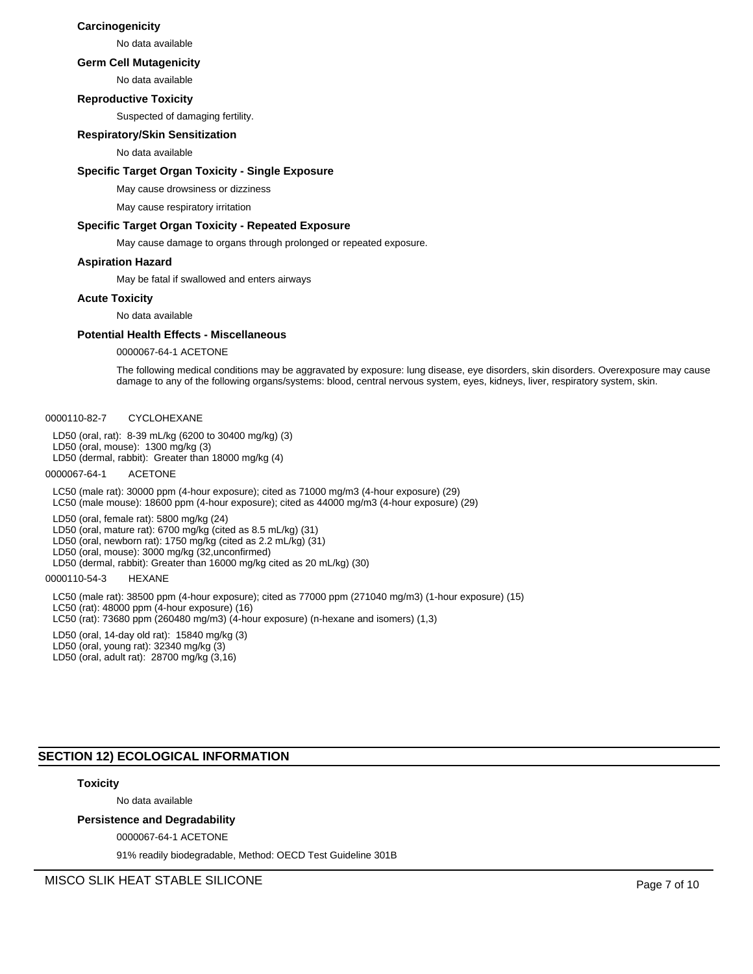#### **Carcinogenicity**

No data available

#### **Germ Cell Mutagenicity**

No data available

#### **Reproductive Toxicity**

Suspected of damaging fertility.

# **Respiratory/Skin Sensitization**

No data available

#### **Specific Target Organ Toxicity - Single Exposure**

May cause drowsiness or dizziness

May cause respiratory irritation

#### **Specific Target Organ Toxicity - Repeated Exposure**

May cause damage to organs through prolonged or repeated exposure.

#### **Aspiration Hazard**

May be fatal if swallowed and enters airways

#### **Acute Toxicity**

No data available

#### **Potential Health Effects - Miscellaneous**

0000067-64-1 ACETONE

The following medical conditions may be aggravated by exposure: lung disease, eye disorders, skin disorders. Overexposure may cause damage to any of the following organs/systems: blood, central nervous system, eyes, kidneys, liver, respiratory system, skin.

#### 0000110-82-7 CYCLOHEXANE

LD50 (oral, rat): 8-39 mL/kg (6200 to 30400 mg/kg) (3) LD50 (oral, mouse): 1300 mg/kg (3) LD50 (dermal, rabbit): Greater than 18000 mg/kg (4)

#### 0000067-64-1 ACETONE

LC50 (male rat): 30000 ppm (4-hour exposure); cited as 71000 mg/m3 (4-hour exposure) (29) LC50 (male mouse): 18600 ppm (4-hour exposure); cited as 44000 mg/m3 (4-hour exposure) (29)

LD50 (oral, female rat): 5800 mg/kg (24)

LD50 (oral, mature rat): 6700 mg/kg (cited as 8.5 mL/kg) (31)

LD50 (oral, newborn rat): 1750 mg/kg (cited as 2.2 mL/kg) (31)

LD50 (oral, mouse): 3000 mg/kg (32,unconfirmed)

LD50 (dermal, rabbit): Greater than 16000 mg/kg cited as 20 mL/kg) (30)

#### 0000110-54-3 HEXANE

LC50 (male rat): 38500 ppm (4-hour exposure); cited as 77000 ppm (271040 mg/m3) (1-hour exposure) (15) LC50 (rat): 48000 ppm (4-hour exposure) (16) LC50 (rat): 73680 ppm (260480 mg/m3) (4-hour exposure) (n-hexane and isomers) (1,3) LD50 (oral, 14-day old rat): 15840 mg/kg (3) LD50 (oral, young rat): 32340 mg/kg (3)

LD50 (oral, adult rat): 28700 mg/kg (3,16)

# **SECTION 12) ECOLOGICAL INFORMATION**

# **Toxicity**

No data available

#### **Persistence and Degradability**

0000067-64-1 ACETONE

91% readily biodegradable, Method: OECD Test Guideline 301B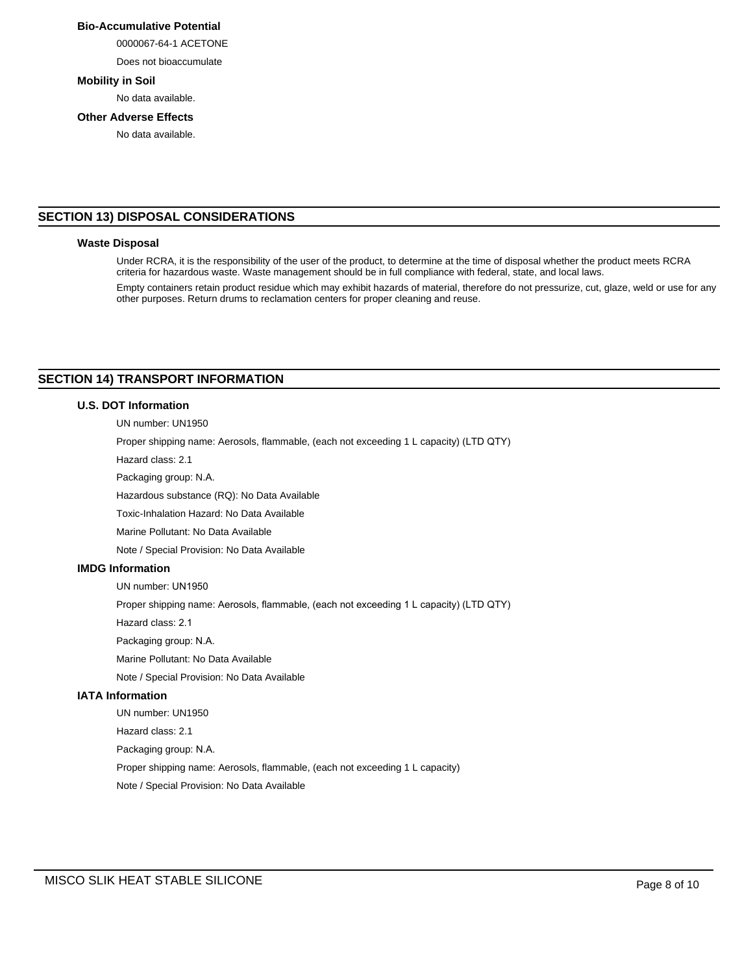# **Bio-Accumulative Potential**

0000067-64-1 ACETONE

Does not bioaccumulate

#### **Mobility in Soil**

No data available.

# **Other Adverse Effects**

No data available.

# **SECTION 13) DISPOSAL CONSIDERATIONS**

#### **Waste Disposal**

Under RCRA, it is the responsibility of the user of the product, to determine at the time of disposal whether the product meets RCRA criteria for hazardous waste. Waste management should be in full compliance with federal, state, and local laws.

Empty containers retain product residue which may exhibit hazards of material, therefore do not pressurize, cut, glaze, weld or use for any other purposes. Return drums to reclamation centers for proper cleaning and reuse.

# **SECTION 14) TRANSPORT INFORMATION**

#### **U.S. DOT Information**

UN number: UN1950

Proper shipping name: Aerosols, flammable, (each not exceeding 1 L capacity) (LTD QTY)

Hazard class: 2.1

Packaging group: N.A.

Hazardous substance (RQ): No Data Available

Toxic-Inhalation Hazard: No Data Available

Marine Pollutant: No Data Available

Note / Special Provision: No Data Available

# **IMDG Information**

UN number: UN1950

Proper shipping name: Aerosols, flammable, (each not exceeding 1 L capacity) (LTD QTY)

Hazard class: 2.1

Packaging group: N.A.

Marine Pollutant: No Data Available

Note / Special Provision: No Data Available

#### **IATA Information**

UN number: UN1950 Hazard class: 2.1 Packaging group: N.A.

Proper shipping name: Aerosols, flammable, (each not exceeding 1 L capacity)

Note / Special Provision: No Data Available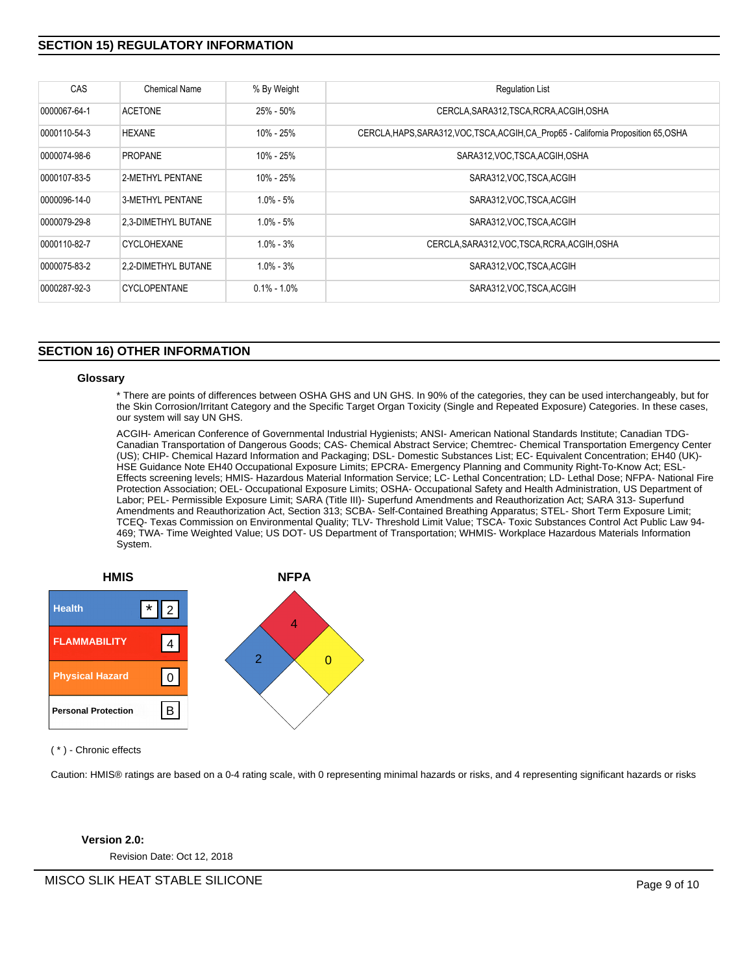# **SECTION 15) REGULATORY INFORMATION**

| <b>CAS</b>   | Chemical Name       | % By Weight     | <b>Regulation List</b>                                                               |
|--------------|---------------------|-----------------|--------------------------------------------------------------------------------------|
| 0000067-64-1 | <b>ACETONE</b>      | 25% - 50%       | CERCLA, SARA312, TSCA, RCRA, ACGIH, OSHA                                             |
| 0000110-54-3 | <b>HEXANE</b>       | 10% - 25%       | CERCLA, HAPS, SARA312, VOC, TSCA, ACGIH, CA Prop65 - California Proposition 65, OSHA |
| 0000074-98-6 | <b>PROPANE</b>      | $10\% - 25\%$   | SARA312, VOC, TSCA, ACGIH, OSHA                                                      |
| 0000107-83-5 | 2-METHYL PENTANE    | 10% - 25%       | SARA312 VOC TSCA ACGIH                                                               |
| 0000096-14-0 | 3-METHYL PENTANE    | $1.0\% - 5\%$   | SARA312, VOC. TSCA, ACGIH                                                            |
| 0000079-29-8 | 2,3-DIMETHYL BUTANE | $1.0\% - 5\%$   | SARA312, VOC. TSCA, ACGIH                                                            |
| 0000110-82-7 | <b>CYCLOHEXANE</b>  | $1.0\% - 3\%$   | CERCLA, SARA312, VOC, TSCA, RCRA, ACGIH, OSHA                                        |
| 0000075-83-2 | 2.2-DIMETHYL BUTANE | $1.0\% - 3\%$   | SARA312, VOC. TSCA, ACGIH                                                            |
| 0000287-92-3 | <b>CYCLOPENTANE</b> | $0.1\% - 1.0\%$ | SARA312, VOC. TSCA, ACGIH                                                            |

# **SECTION 16) OTHER INFORMATION**

#### **Glossary**

\* There are points of differences between OSHA GHS and UN GHS. In 90% of the categories, they can be used interchangeably, but for the Skin Corrosion/Irritant Category and the Specific Target Organ Toxicity (Single and Repeated Exposure) Categories. In these cases, our system will say UN GHS.

ACGIH- American Conference of Governmental Industrial Hygienists; ANSI- American National Standards Institute; Canadian TDG-Canadian Transportation of Dangerous Goods; CAS- Chemical Abstract Service; Chemtrec- Chemical Transportation Emergency Center (US); CHIP- Chemical Hazard Information and Packaging; DSL- Domestic Substances List; EC- Equivalent Concentration; EH40 (UK)- HSE Guidance Note EH40 Occupational Exposure Limits; EPCRA- Emergency Planning and Community Right-To-Know Act; ESL-Effects screening levels; HMIS- Hazardous Material Information Service; LC- Lethal Concentration; LD- Lethal Dose; NFPA- National Fire Protection Association; OEL- Occupational Exposure Limits; OSHA- Occupational Safety and Health Administration, US Department of Labor; PEL- Permissible Exposure Limit; SARA (Title III)- Superfund Amendments and Reauthorization Act; SARA 313- Superfund Amendments and Reauthorization Act, Section 313; SCBA- Self-Contained Breathing Apparatus; STEL- Short Term Exposure Limit; TCEQ- Texas Commission on Environmental Quality; TLV- Threshold Limit Value; TSCA- Toxic Substances Control Act Public Law 94- 469; TWA- Time Weighted Value; US DOT- US Department of Transportation; WHMIS- Workplace Hazardous Materials Information System.



( \* ) - Chronic effects

Caution: HMIS® ratings are based on a 0-4 rating scale, with 0 representing minimal hazards or risks, and 4 representing significant hazards or risks

# **Version 2.0:**

Revision Date: Oct 12, 2018

MISCO SLIK HEAT STABLE SILICONE **Page 9 of 10**